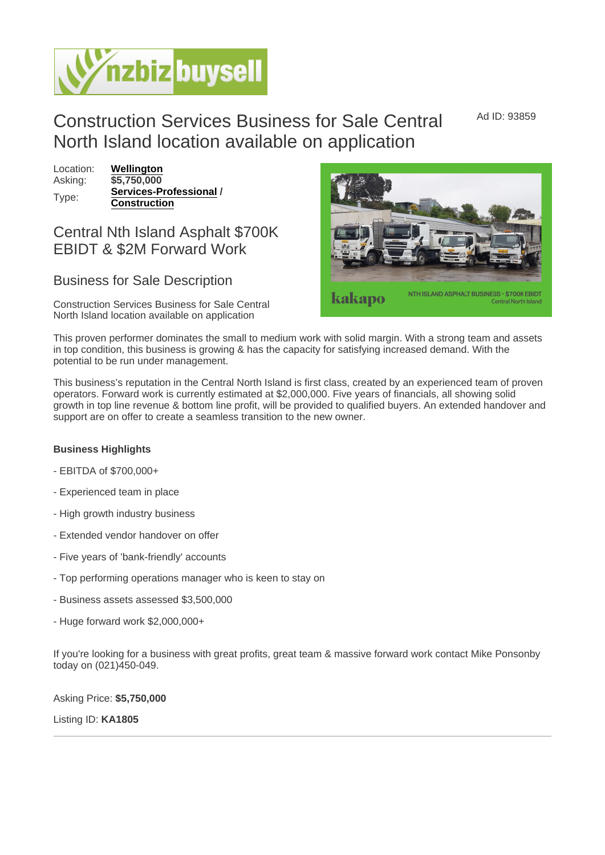Ad ID: 93859

## Construction Services Business for Sale Central North Island location available on application

Location: [Wellington](https://www.nzbizbuysell.co.nz/businesses-for-sale/location/Wellington) Asking: \$5,750,000 Type: [Services-Professional](https://www.nzbizbuysell.co.nz/businesses-for-sale/Services-Professional/New-Zealand) / Construction

## Central Nth Island Asphalt \$700K EBIDT & \$2M Forward Work

## Business for Sale Description

Construction Services Business for Sale Central North Island location available on application

This proven performer dominates the small to medium work with solid margin. With a strong team and assets in top condition, this business is growing & has the capacity for satisfying increased demand. With the potential to be run under management.

This business's reputation in the Central North Island is first class, created by an experienced team of proven operators. Forward work is currently estimated at \$2,000,000. Five years of financials, all showing solid growth in top line revenue & bottom line profit, will be provided to qualified buyers. An extended handover and support are on offer to create a seamless transition to the new owner.

Business Highlights

- EBITDA of \$700,000+
- Experienced team in place
- High growth industry business
- Extended vendor handover on offer
- Five years of 'bank-friendly' accounts
- Top performing operations manager who is keen to stay on
- Business assets assessed \$3,500,000
- Huge forward work \$2,000,000+

If you're looking for a business with great profits, great team & massive forward work contact Mike Ponsonby today on (021)450-049.

Asking Price: \$5,750,000

Listing ID: KA1805